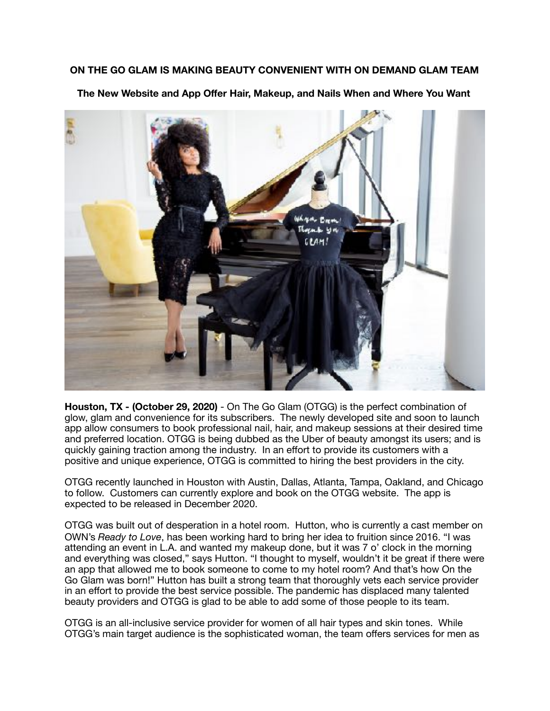## **ON THE GO GLAM IS MAKING BEAUTY CONVENIENT WITH ON DEMAND GLAM TEAM**

**The New Website and App Offer Hair, Makeup, and Nails When and Where You Want** 



**Houston, TX - (October 29, 2020)** - On The Go Glam (OTGG) is the perfect combination of glow, glam and convenience for its subscribers. The newly developed site and soon to launch app allow consumers to book professional nail, hair, and makeup sessions at their desired time and preferred location. OTGG is being dubbed as the Uber of beauty amongst its users; and is quickly gaining traction among the industry. In an effort to provide its customers with a positive and unique experience, OTGG is committed to hiring the best providers in the city.

OTGG recently launched in Houston with Austin, Dallas, Atlanta, Tampa, Oakland, and Chicago to follow. Customers can currently explore and book on the OTGG website. The app is expected to be released in December 2020.

OTGG was built out of desperation in a hotel room. Hutton, who is currently a cast member on OWN's *Ready to Love*, has been working hard to bring her idea to fruition since 2016. "I was attending an event in L.A. and wanted my makeup done, but it was 7 o' clock in the morning and everything was closed," says Hutton. "I thought to myself, wouldn't it be great if there were an app that allowed me to book someone to come to my hotel room? And that's how On the Go Glam was born!" Hutton has built a strong team that thoroughly vets each service provider in an effort to provide the best service possible. The pandemic has displaced many talented beauty providers and OTGG is glad to be able to add some of those people to its team.

OTGG is an all-inclusive service provider for women of all hair types and skin tones. While OTGG's main target audience is the sophisticated woman, the team offers services for men as